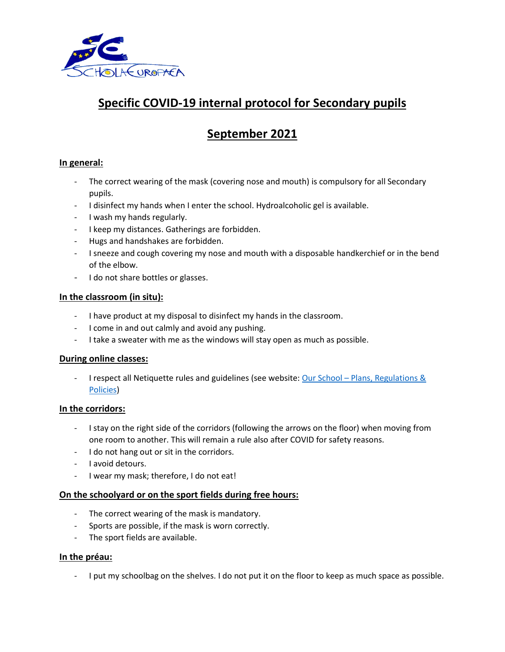

# **Specific COVID-19 internal protocol for Secondary pupils**

## **September 2021**

## **In general:**

- The correct wearing of the mask (covering nose and mouth) is compulsory for all Secondary pupils.
- I disinfect my hands when I enter the school. Hydroalcoholic gel is available.
- I wash my hands regularly.
- I keep my distances. Gatherings are forbidden.
- Hugs and handshakes are forbidden.
- I sneeze and cough covering my nose and mouth with a disposable handkerchief or in the bend of the elbow.
- I do not share bottles or glasses.

#### **In the classroom (in situ):**

- I have product at my disposal to disinfect my hands in the classroom.
- I come in and out calmly and avoid any pushing.
- I take a sweater with me as the windows will stay open as much as possible.

#### **During online classes:**

- I respect all Netiquette rules and guidelines (see website: Our School - Plans, Regulations & [Policies\)](https://www.eeb2.be/en/our-school--plans-regulations--policies/)

#### **In the corridors:**

- I stay on the right side of the corridors (following the arrows on the floor) when moving from one room to another. This will remain a rule also after COVID for safety reasons.
- I do not hang out or sit in the corridors.
- I avoid detours.
- I wear my mask; therefore, I do not eat!

#### **On the schoolyard or on the sport fields during free hours:**

- The correct wearing of the mask is mandatory.
- Sports are possible, if the mask is worn correctly.
- The sport fields are available.

#### **In the préau:**

- I put my schoolbag on the shelves. I do not put it on the floor to keep as much space as possible.